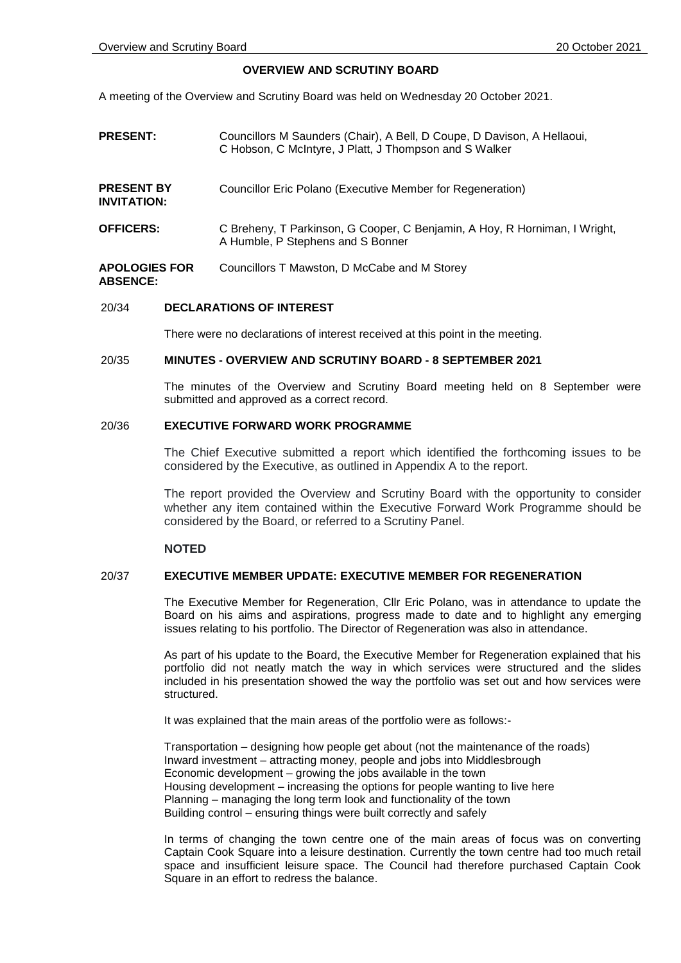## **OVERVIEW AND SCRUTINY BOARD**

A meeting of the Overview and Scrutiny Board was held on Wednesday 20 October 2021.

- **PRESENT:** Councillors M Saunders (Chair), A Bell, D Coupe, D Davison, A Hellaoui, C Hobson, C McIntyre, J Platt, J Thompson and S Walker
- **PRESENT BY INVITATION:** Councillor Eric Polano (Executive Member for Regeneration)
- **OFFICERS:** C Breheny, T Parkinson, G Cooper, C Benjamin, A Hoy, R Horniman, I Wright, A Humble, P Stephens and S Bonner
- **APOLOGIES FOR ABSENCE:** Councillors T Mawston, D McCabe and M Storey

### 20/34 **DECLARATIONS OF INTEREST**

There were no declarations of interest received at this point in the meeting.

## 20/35 **MINUTES - OVERVIEW AND SCRUTINY BOARD - 8 SEPTEMBER 2021**

The minutes of the Overview and Scrutiny Board meeting held on 8 September were submitted and approved as a correct record.

# 20/36 **EXECUTIVE FORWARD WORK PROGRAMME**

The Chief Executive submitted a report which identified the forthcoming issues to be considered by the Executive, as outlined in Appendix A to the report.

The report provided the Overview and Scrutiny Board with the opportunity to consider whether any item contained within the Executive Forward Work Programme should be considered by the Board, or referred to a Scrutiny Panel.

## **NOTED**

### 20/37 **EXECUTIVE MEMBER UPDATE: EXECUTIVE MEMBER FOR REGENERATION**

The Executive Member for Regeneration, Cllr Eric Polano, was in attendance to update the Board on his aims and aspirations, progress made to date and to highlight any emerging issues relating to his portfolio. The Director of Regeneration was also in attendance.

As part of his update to the Board, the Executive Member for Regeneration explained that his portfolio did not neatly match the way in which services were structured and the slides included in his presentation showed the way the portfolio was set out and how services were structured.

It was explained that the main areas of the portfolio were as follows:-

Transportation – designing how people get about (not the maintenance of the roads) Inward investment – attracting money, people and jobs into Middlesbrough Economic development – growing the jobs available in the town Housing development – increasing the options for people wanting to live here Planning – managing the long term look and functionality of the town Building control – ensuring things were built correctly and safely

In terms of changing the town centre one of the main areas of focus was on converting Captain Cook Square into a leisure destination. Currently the town centre had too much retail space and insufficient leisure space. The Council had therefore purchased Captain Cook Square in an effort to redress the balance.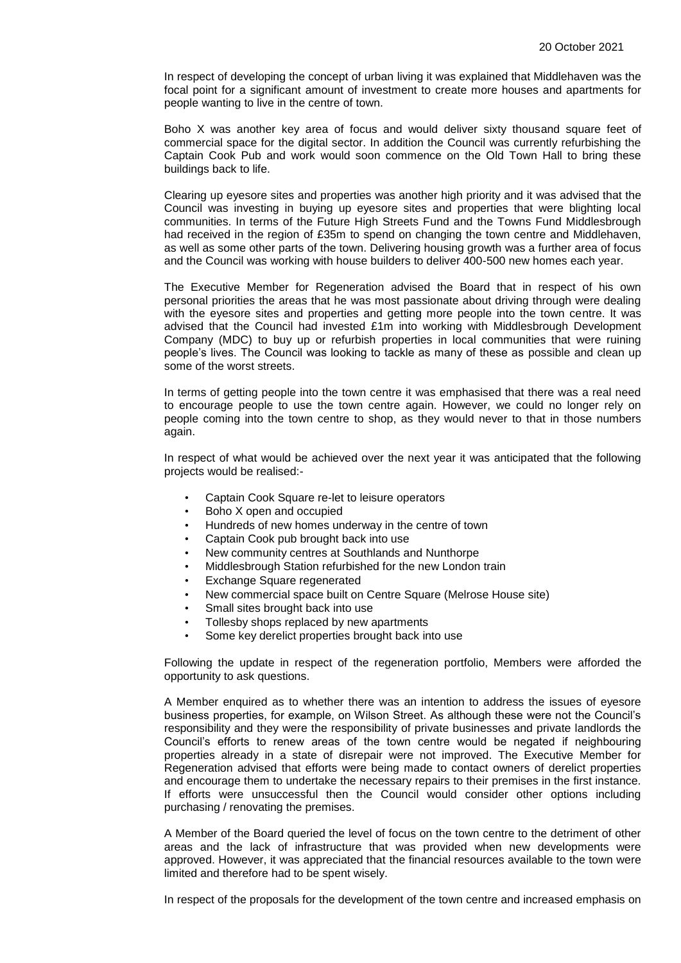In respect of developing the concept of urban living it was explained that Middlehaven was the focal point for a significant amount of investment to create more houses and apartments for people wanting to live in the centre of town.

Boho X was another key area of focus and would deliver sixty thousand square feet of commercial space for the digital sector. In addition the Council was currently refurbishing the Captain Cook Pub and work would soon commence on the Old Town Hall to bring these buildings back to life.

Clearing up eyesore sites and properties was another high priority and it was advised that the Council was investing in buying up eyesore sites and properties that were blighting local communities. In terms of the Future High Streets Fund and the Towns Fund Middlesbrough had received in the region of £35m to spend on changing the town centre and Middlehaven, as well as some other parts of the town. Delivering housing growth was a further area of focus and the Council was working with house builders to deliver 400-500 new homes each year.

The Executive Member for Regeneration advised the Board that in respect of his own personal priorities the areas that he was most passionate about driving through were dealing with the eyesore sites and properties and getting more people into the town centre. It was advised that the Council had invested £1m into working with Middlesbrough Development Company (MDC) to buy up or refurbish properties in local communities that were ruining people's lives. The Council was looking to tackle as many of these as possible and clean up some of the worst streets.

In terms of getting people into the town centre it was emphasised that there was a real need to encourage people to use the town centre again. However, we could no longer rely on people coming into the town centre to shop, as they would never to that in those numbers again.

In respect of what would be achieved over the next year it was anticipated that the following projects would be realised:-

- Captain Cook Square re-let to leisure operators
- Boho X open and occupied
- Hundreds of new homes underway in the centre of town
- Captain Cook pub brought back into use
- New community centres at Southlands and Nunthorpe
- Middlesbrough Station refurbished for the new London train
- **Exchange Square regenerated**
- New commercial space built on Centre Square (Melrose House site)
- Small sites brought back into use
- Tollesby shops replaced by new apartments
- Some key derelict properties brought back into use

Following the update in respect of the regeneration portfolio, Members were afforded the opportunity to ask questions.

A Member enquired as to whether there was an intention to address the issues of eyesore business properties, for example, on Wilson Street. As although these were not the Council's responsibility and they were the responsibility of private businesses and private landlords the Council's efforts to renew areas of the town centre would be negated if neighbouring properties already in a state of disrepair were not improved. The Executive Member for Regeneration advised that efforts were being made to contact owners of derelict properties and encourage them to undertake the necessary repairs to their premises in the first instance. If efforts were unsuccessful then the Council would consider other options including purchasing / renovating the premises.

A Member of the Board queried the level of focus on the town centre to the detriment of other areas and the lack of infrastructure that was provided when new developments were approved. However, it was appreciated that the financial resources available to the town were limited and therefore had to be spent wisely.

In respect of the proposals for the development of the town centre and increased emphasis on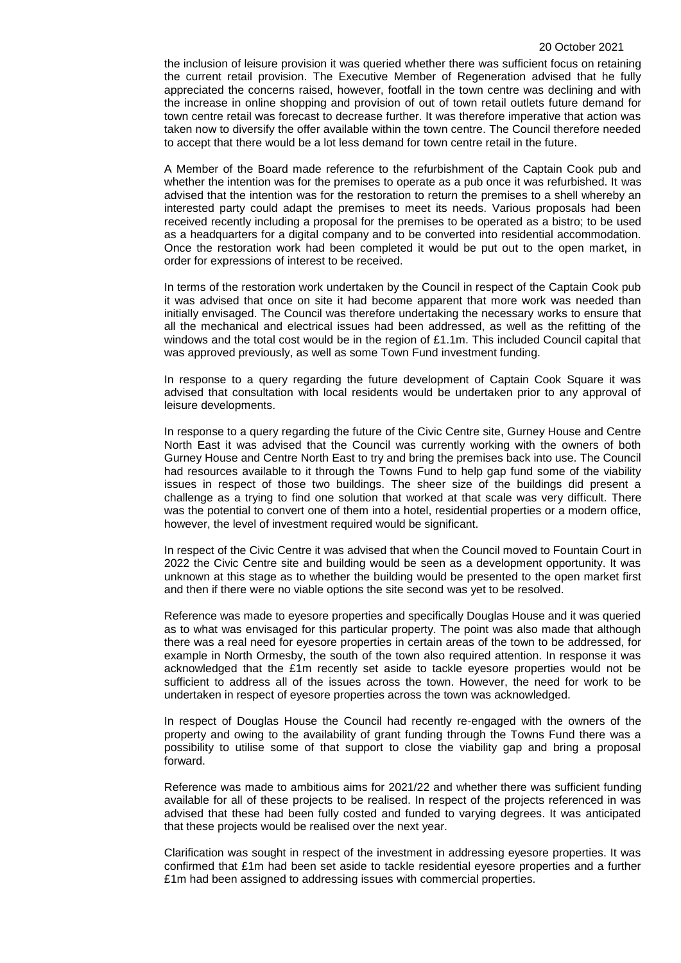#### 20 October 2021

the inclusion of leisure provision it was queried whether there was sufficient focus on retaining the current retail provision. The Executive Member of Regeneration advised that he fully appreciated the concerns raised, however, footfall in the town centre was declining and with the increase in online shopping and provision of out of town retail outlets future demand for town centre retail was forecast to decrease further. It was therefore imperative that action was taken now to diversify the offer available within the town centre. The Council therefore needed to accept that there would be a lot less demand for town centre retail in the future.

A Member of the Board made reference to the refurbishment of the Captain Cook pub and whether the intention was for the premises to operate as a pub once it was refurbished. It was advised that the intention was for the restoration to return the premises to a shell whereby an interested party could adapt the premises to meet its needs. Various proposals had been received recently including a proposal for the premises to be operated as a bistro; to be used as a headquarters for a digital company and to be converted into residential accommodation. Once the restoration work had been completed it would be put out to the open market, in order for expressions of interest to be received.

In terms of the restoration work undertaken by the Council in respect of the Captain Cook pub it was advised that once on site it had become apparent that more work was needed than initially envisaged. The Council was therefore undertaking the necessary works to ensure that all the mechanical and electrical issues had been addressed, as well as the refitting of the windows and the total cost would be in the region of £1.1m. This included Council capital that was approved previously, as well as some Town Fund investment funding.

In response to a query regarding the future development of Captain Cook Square it was advised that consultation with local residents would be undertaken prior to any approval of leisure developments.

In response to a query regarding the future of the Civic Centre site, Gurney House and Centre North East it was advised that the Council was currently working with the owners of both Gurney House and Centre North East to try and bring the premises back into use. The Council had resources available to it through the Towns Fund to help gap fund some of the viability issues in respect of those two buildings. The sheer size of the buildings did present a challenge as a trying to find one solution that worked at that scale was very difficult. There was the potential to convert one of them into a hotel, residential properties or a modern office, however, the level of investment required would be significant.

In respect of the Civic Centre it was advised that when the Council moved to Fountain Court in 2022 the Civic Centre site and building would be seen as a development opportunity. It was unknown at this stage as to whether the building would be presented to the open market first and then if there were no viable options the site second was yet to be resolved.

Reference was made to eyesore properties and specifically Douglas House and it was queried as to what was envisaged for this particular property. The point was also made that although there was a real need for eyesore properties in certain areas of the town to be addressed, for example in North Ormesby, the south of the town also required attention. In response it was acknowledged that the £1m recently set aside to tackle eyesore properties would not be sufficient to address all of the issues across the town. However, the need for work to be undertaken in respect of eyesore properties across the town was acknowledged.

In respect of Douglas House the Council had recently re-engaged with the owners of the property and owing to the availability of grant funding through the Towns Fund there was a possibility to utilise some of that support to close the viability gap and bring a proposal forward.

Reference was made to ambitious aims for 2021/22 and whether there was sufficient funding available for all of these projects to be realised. In respect of the projects referenced in was advised that these had been fully costed and funded to varying degrees. It was anticipated that these projects would be realised over the next year.

Clarification was sought in respect of the investment in addressing eyesore properties. It was confirmed that £1m had been set aside to tackle residential eyesore properties and a further £1m had been assigned to addressing issues with commercial properties.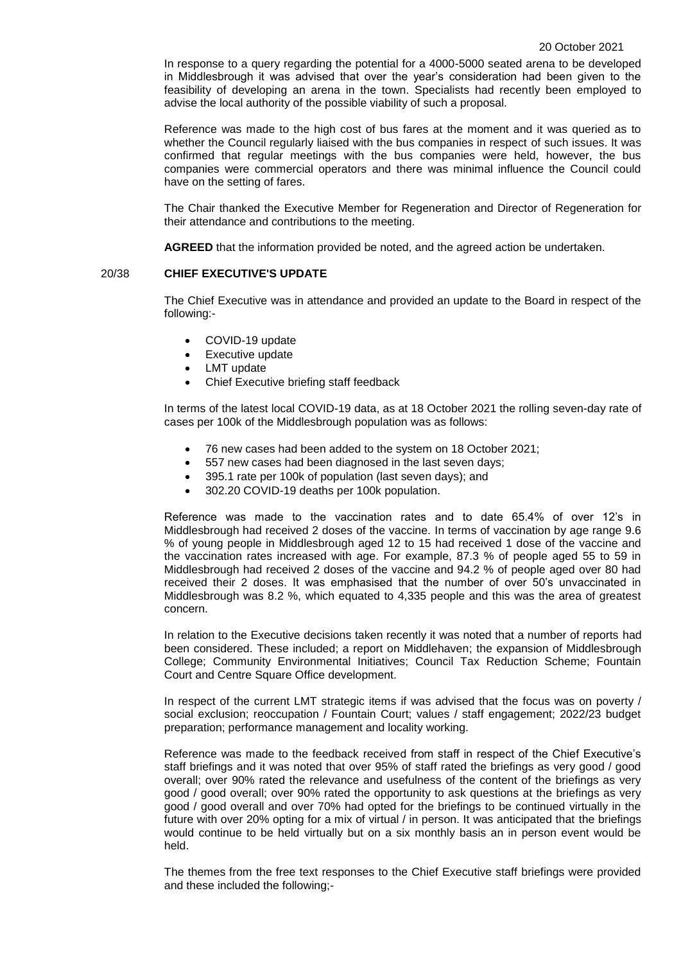In response to a query regarding the potential for a 4000-5000 seated arena to be developed in Middlesbrough it was advised that over the year's consideration had been given to the feasibility of developing an arena in the town. Specialists had recently been employed to advise the local authority of the possible viability of such a proposal.

Reference was made to the high cost of bus fares at the moment and it was queried as to whether the Council regularly liaised with the bus companies in respect of such issues. It was confirmed that regular meetings with the bus companies were held, however, the bus companies were commercial operators and there was minimal influence the Council could have on the setting of fares.

The Chair thanked the Executive Member for Regeneration and Director of Regeneration for their attendance and contributions to the meeting.

**AGREED** that the information provided be noted, and the agreed action be undertaken.

### 20/38 **CHIEF EXECUTIVE'S UPDATE**

The Chief Executive was in attendance and provided an update to the Board in respect of the following:-

- COVID-19 update
- Executive update
- LMT update
- Chief Executive briefing staff feedback

In terms of the latest local COVID-19 data, as at 18 October 2021 the rolling seven-day rate of cases per 100k of the Middlesbrough population was as follows:

- 76 new cases had been added to the system on 18 October 2021;
- 557 new cases had been diagnosed in the last seven days;
- 395.1 rate per 100k of population (last seven days); and
- 302.20 COVID-19 deaths per 100k population.

Reference was made to the vaccination rates and to date 65.4% of over 12's in Middlesbrough had received 2 doses of the vaccine. In terms of vaccination by age range 9.6 % of young people in Middlesbrough aged 12 to 15 had received 1 dose of the vaccine and the vaccination rates increased with age. For example, 87.3 % of people aged 55 to 59 in Middlesbrough had received 2 doses of the vaccine and 94.2 % of people aged over 80 had received their 2 doses. It was emphasised that the number of over 50's unvaccinated in Middlesbrough was 8.2 %, which equated to 4,335 people and this was the area of greatest concern.

In relation to the Executive decisions taken recently it was noted that a number of reports had been considered. These included; a report on Middlehaven; the expansion of Middlesbrough College; Community Environmental Initiatives; Council Tax Reduction Scheme; Fountain Court and Centre Square Office development.

In respect of the current LMT strategic items if was advised that the focus was on poverty / social exclusion; reoccupation / Fountain Court; values / staff engagement; 2022/23 budget preparation; performance management and locality working.

Reference was made to the feedback received from staff in respect of the Chief Executive's staff briefings and it was noted that over 95% of staff rated the briefings as very good / good overall; over 90% rated the relevance and usefulness of the content of the briefings as very good / good overall; over 90% rated the opportunity to ask questions at the briefings as very good / good overall and over 70% had opted for the briefings to be continued virtually in the future with over 20% opting for a mix of virtual / in person. It was anticipated that the briefings would continue to be held virtually but on a six monthly basis an in person event would be held.

The themes from the free text responses to the Chief Executive staff briefings were provided and these included the following;-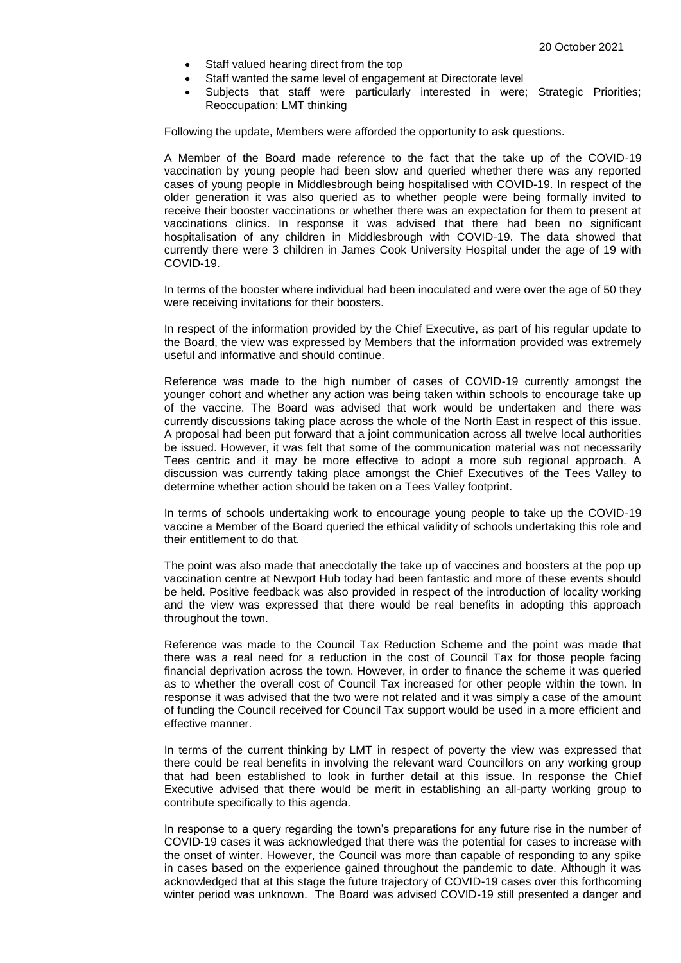- Staff valued hearing direct from the top
- Staff wanted the same level of engagement at Directorate level
- Subjects that staff were particularly interested in were; Strategic Priorities; Reoccupation; LMT thinking

Following the update, Members were afforded the opportunity to ask questions.

A Member of the Board made reference to the fact that the take up of the COVID-19 vaccination by young people had been slow and queried whether there was any reported cases of young people in Middlesbrough being hospitalised with COVID-19. In respect of the older generation it was also queried as to whether people were being formally invited to receive their booster vaccinations or whether there was an expectation for them to present at vaccinations clinics. In response it was advised that there had been no significant hospitalisation of any children in Middlesbrough with COVID-19. The data showed that currently there were 3 children in James Cook University Hospital under the age of 19 with COVID-19.

In terms of the booster where individual had been inoculated and were over the age of 50 they were receiving invitations for their boosters.

In respect of the information provided by the Chief Executive, as part of his regular update to the Board, the view was expressed by Members that the information provided was extremely useful and informative and should continue.

Reference was made to the high number of cases of COVID-19 currently amongst the younger cohort and whether any action was being taken within schools to encourage take up of the vaccine. The Board was advised that work would be undertaken and there was currently discussions taking place across the whole of the North East in respect of this issue. A proposal had been put forward that a joint communication across all twelve local authorities be issued. However, it was felt that some of the communication material was not necessarily Tees centric and it may be more effective to adopt a more sub regional approach. A discussion was currently taking place amongst the Chief Executives of the Tees Valley to determine whether action should be taken on a Tees Valley footprint.

In terms of schools undertaking work to encourage young people to take up the COVID-19 vaccine a Member of the Board queried the ethical validity of schools undertaking this role and their entitlement to do that.

The point was also made that anecdotally the take up of vaccines and boosters at the pop up vaccination centre at Newport Hub today had been fantastic and more of these events should be held. Positive feedback was also provided in respect of the introduction of locality working and the view was expressed that there would be real benefits in adopting this approach throughout the town.

Reference was made to the Council Tax Reduction Scheme and the point was made that there was a real need for a reduction in the cost of Council Tax for those people facing financial deprivation across the town. However, in order to finance the scheme it was queried as to whether the overall cost of Council Tax increased for other people within the town. In response it was advised that the two were not related and it was simply a case of the amount of funding the Council received for Council Tax support would be used in a more efficient and effective manner.

In terms of the current thinking by LMT in respect of poverty the view was expressed that there could be real benefits in involving the relevant ward Councillors on any working group that had been established to look in further detail at this issue. In response the Chief Executive advised that there would be merit in establishing an all-party working group to contribute specifically to this agenda.

In response to a query regarding the town's preparations for any future rise in the number of COVID-19 cases it was acknowledged that there was the potential for cases to increase with the onset of winter. However, the Council was more than capable of responding to any spike in cases based on the experience gained throughout the pandemic to date. Although it was acknowledged that at this stage the future trajectory of COVID-19 cases over this forthcoming winter period was unknown. The Board was advised COVID-19 still presented a danger and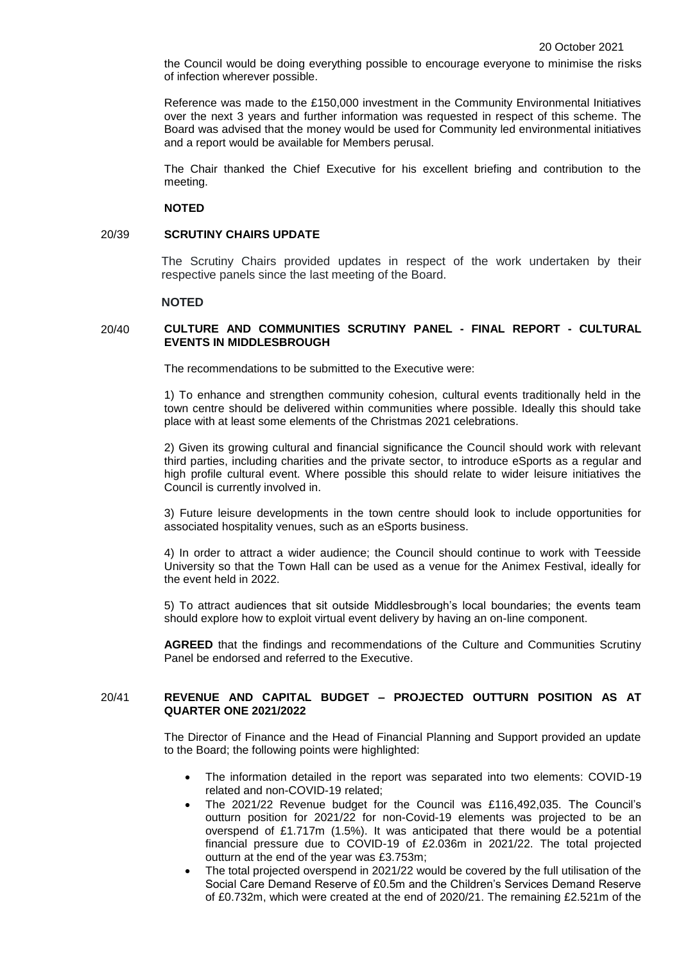the Council would be doing everything possible to encourage everyone to minimise the risks of infection wherever possible.

Reference was made to the £150,000 investment in the Community Environmental Initiatives over the next 3 years and further information was requested in respect of this scheme. The Board was advised that the money would be used for Community led environmental initiatives and a report would be available for Members perusal.

The Chair thanked the Chief Executive for his excellent briefing and contribution to the meeting.

#### **NOTED**

#### 20/39 **SCRUTINY CHAIRS UPDATE**

The Scrutiny Chairs provided updates in respect of the work undertaken by their respective panels since the last meeting of the Board.

### **NOTED**

### 20/40 **CULTURE AND COMMUNITIES SCRUTINY PANEL - FINAL REPORT - CULTURAL EVENTS IN MIDDLESBROUGH**

The recommendations to be submitted to the Executive were:

1) To enhance and strengthen community cohesion, cultural events traditionally held in the town centre should be delivered within communities where possible. Ideally this should take place with at least some elements of the Christmas 2021 celebrations.

2) Given its growing cultural and financial significance the Council should work with relevant third parties, including charities and the private sector, to introduce eSports as a regular and high profile cultural event. Where possible this should relate to wider leisure initiatives the Council is currently involved in.

3) Future leisure developments in the town centre should look to include opportunities for associated hospitality venues, such as an eSports business.

4) In order to attract a wider audience; the Council should continue to work with Teesside University so that the Town Hall can be used as a venue for the Animex Festival, ideally for the event held in 2022.

5) To attract audiences that sit outside Middlesbrough's local boundaries; the events team should explore how to exploit virtual event delivery by having an on-line component.

**AGREED** that the findings and recommendations of the Culture and Communities Scrutiny Panel be endorsed and referred to the Executive.

## 20/41 **REVENUE AND CAPITAL BUDGET – PROJECTED OUTTURN POSITION AS AT QUARTER ONE 2021/2022**

The Director of Finance and the Head of Financial Planning and Support provided an update to the Board; the following points were highlighted:

- The information detailed in the report was separated into two elements: COVID-19 related and non-COVID-19 related;
- The 2021/22 Revenue budget for the Council was £116,492,035. The Council's outturn position for 2021/22 for non-Covid-19 elements was projected to be an overspend of £1.717m (1.5%). It was anticipated that there would be a potential financial pressure due to COVID-19 of £2.036m in 2021/22. The total projected outturn at the end of the year was £3.753m;
- The total projected overspend in 2021/22 would be covered by the full utilisation of the Social Care Demand Reserve of £0.5m and the Children's Services Demand Reserve of £0.732m, which were created at the end of 2020/21. The remaining £2.521m of the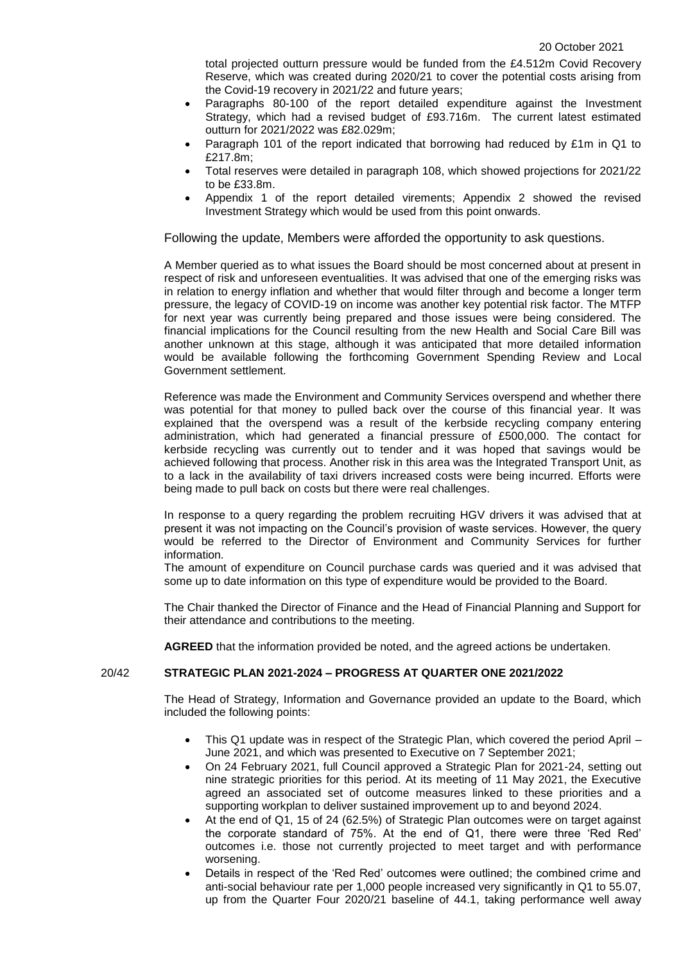total projected outturn pressure would be funded from the £4.512m Covid Recovery Reserve, which was created during 2020/21 to cover the potential costs arising from the Covid-19 recovery in 2021/22 and future years;

- Paragraphs 80-100 of the report detailed expenditure against the Investment Strategy, which had a revised budget of £93.716m. The current latest estimated outturn for 2021/2022 was £82.029m;
- Paragraph 101 of the report indicated that borrowing had reduced by £1m in Q1 to £217.8m;
- Total reserves were detailed in paragraph 108, which showed projections for 2021/22 to be £33.8m.
- Appendix 1 of the report detailed virements; Appendix 2 showed the revised Investment Strategy which would be used from this point onwards.

Following the update, Members were afforded the opportunity to ask questions.

A Member queried as to what issues the Board should be most concerned about at present in respect of risk and unforeseen eventualities. It was advised that one of the emerging risks was in relation to energy inflation and whether that would filter through and become a longer term pressure, the legacy of COVID-19 on income was another key potential risk factor. The MTFP for next year was currently being prepared and those issues were being considered. The financial implications for the Council resulting from the new Health and Social Care Bill was another unknown at this stage, although it was anticipated that more detailed information would be available following the forthcoming Government Spending Review and Local Government settlement.

Reference was made the Environment and Community Services overspend and whether there was potential for that money to pulled back over the course of this financial year. It was explained that the overspend was a result of the kerbside recycling company entering administration, which had generated a financial pressure of £500,000. The contact for kerbside recycling was currently out to tender and it was hoped that savings would be achieved following that process. Another risk in this area was the Integrated Transport Unit, as to a lack in the availability of taxi drivers increased costs were being incurred. Efforts were being made to pull back on costs but there were real challenges.

In response to a query regarding the problem recruiting HGV drivers it was advised that at present it was not impacting on the Council's provision of waste services. However, the query would be referred to the Director of Environment and Community Services for further information.

The amount of expenditure on Council purchase cards was queried and it was advised that some up to date information on this type of expenditure would be provided to the Board.

The Chair thanked the Director of Finance and the Head of Financial Planning and Support for their attendance and contributions to the meeting.

**AGREED** that the information provided be noted, and the agreed actions be undertaken.

## 20/42 **STRATEGIC PLAN 2021-2024 – PROGRESS AT QUARTER ONE 2021/2022**

The Head of Strategy, Information and Governance provided an update to the Board, which included the following points:

- This Q1 update was in respect of the Strategic Plan, which covered the period April June 2021, and which was presented to Executive on 7 September 2021;
- On 24 February 2021, full Council approved a Strategic Plan for 2021-24, setting out nine strategic priorities for this period. At its meeting of 11 May 2021, the Executive agreed an associated set of outcome measures linked to these priorities and a supporting workplan to deliver sustained improvement up to and beyond 2024.
- At the end of Q1, 15 of 24 (62.5%) of Strategic Plan outcomes were on target against the corporate standard of 75%. At the end of Q1, there were three 'Red Red' outcomes i.e. those not currently projected to meet target and with performance worsening.
- Details in respect of the 'Red Red' outcomes were outlined; the combined crime and anti-social behaviour rate per 1,000 people increased very significantly in Q1 to 55.07, up from the Quarter Four 2020/21 baseline of 44.1, taking performance well away